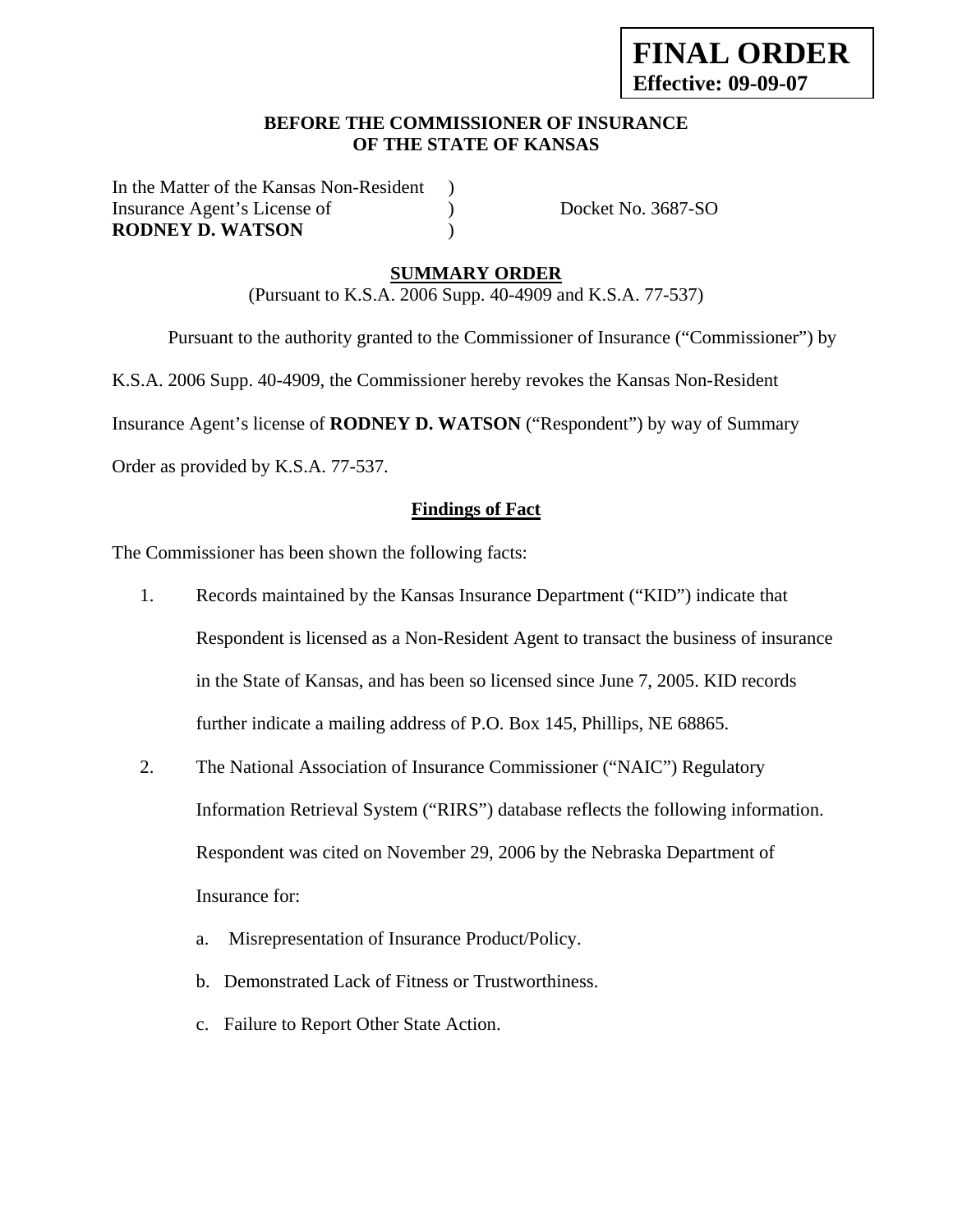### **BEFORE THE COMMISSIONER OF INSURANCE OF THE STATE OF KANSAS**

In the Matter of the Kansas Non-Resident ) Insurance Agent's License of  $Docket No. 3687-SO$ **RODNEY D. WATSON** )

### **SUMMARY ORDER**

(Pursuant to K.S.A. 2006 Supp. 40-4909 and K.S.A. 77-537)

 Pursuant to the authority granted to the Commissioner of Insurance ("Commissioner") by K.S.A. 2006 Supp. 40-4909, the Commissioner hereby revokes the Kansas Non-Resident Insurance Agent's license of **RODNEY D. WATSON** ("Respondent") by way of Summary

Order as provided by K.S.A. 77-537.

## **Findings of Fact**

The Commissioner has been shown the following facts:

- 1. Records maintained by the Kansas Insurance Department ("KID") indicate that Respondent is licensed as a Non-Resident Agent to transact the business of insurance in the State of Kansas, and has been so licensed since June 7, 2005. KID records further indicate a mailing address of P.O. Box 145, Phillips, NE 68865.
- 2. The National Association of Insurance Commissioner ("NAIC") Regulatory Information Retrieval System ("RIRS") database reflects the following information. Respondent was cited on November 29, 2006 by the Nebraska Department of Insurance for:
	- a. Misrepresentation of Insurance Product/Policy.
	- b. Demonstrated Lack of Fitness or Trustworthiness.
	- c. Failure to Report Other State Action.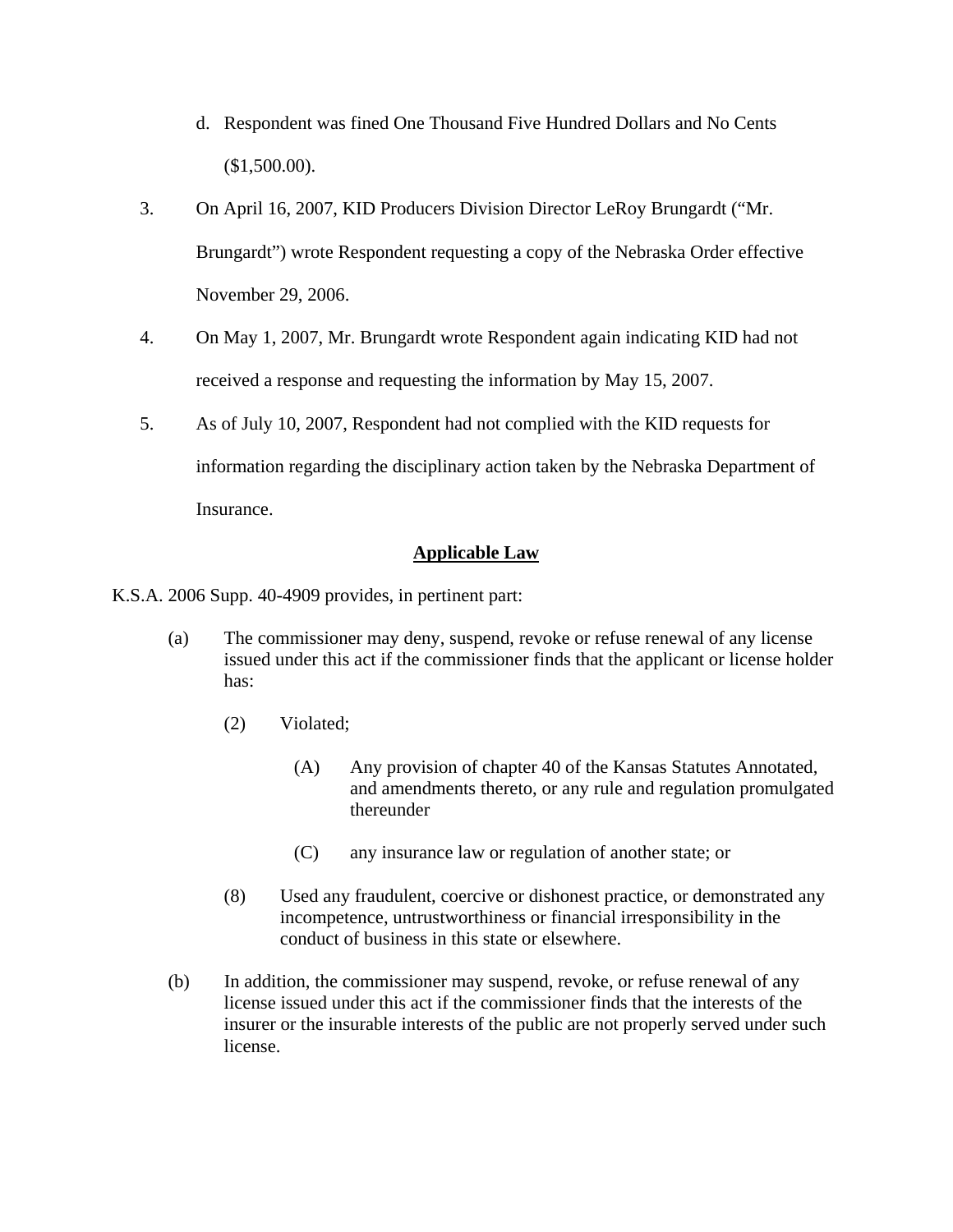- d. Respondent was fined One Thousand Five Hundred Dollars and No Cents (\$1,500.00).
- 3. On April 16, 2007, KID Producers Division Director LeRoy Brungardt ("Mr. Brungardt") wrote Respondent requesting a copy of the Nebraska Order effective November 29, 2006.
- 4. On May 1, 2007, Mr. Brungardt wrote Respondent again indicating KID had not received a response and requesting the information by May 15, 2007.
- 5. As of July 10, 2007, Respondent had not complied with the KID requests for information regarding the disciplinary action taken by the Nebraska Department of Insurance.

## **Applicable Law**

K.S.A. 2006 Supp. 40-4909 provides, in pertinent part:

- (a) The commissioner may deny, suspend, revoke or refuse renewal of any license issued under this act if the commissioner finds that the applicant or license holder has:
	- (2) Violated;
		- (A) Any provision of chapter 40 of the Kansas Statutes Annotated, and amendments thereto, or any rule and regulation promulgated thereunder
		- (C) any insurance law or regulation of another state; or
	- (8) Used any fraudulent, coercive or dishonest practice, or demonstrated any incompetence, untrustworthiness or financial irresponsibility in the conduct of business in this state or elsewhere.
- (b) In addition, the commissioner may suspend, revoke, or refuse renewal of any license issued under this act if the commissioner finds that the interests of the insurer or the insurable interests of the public are not properly served under such license.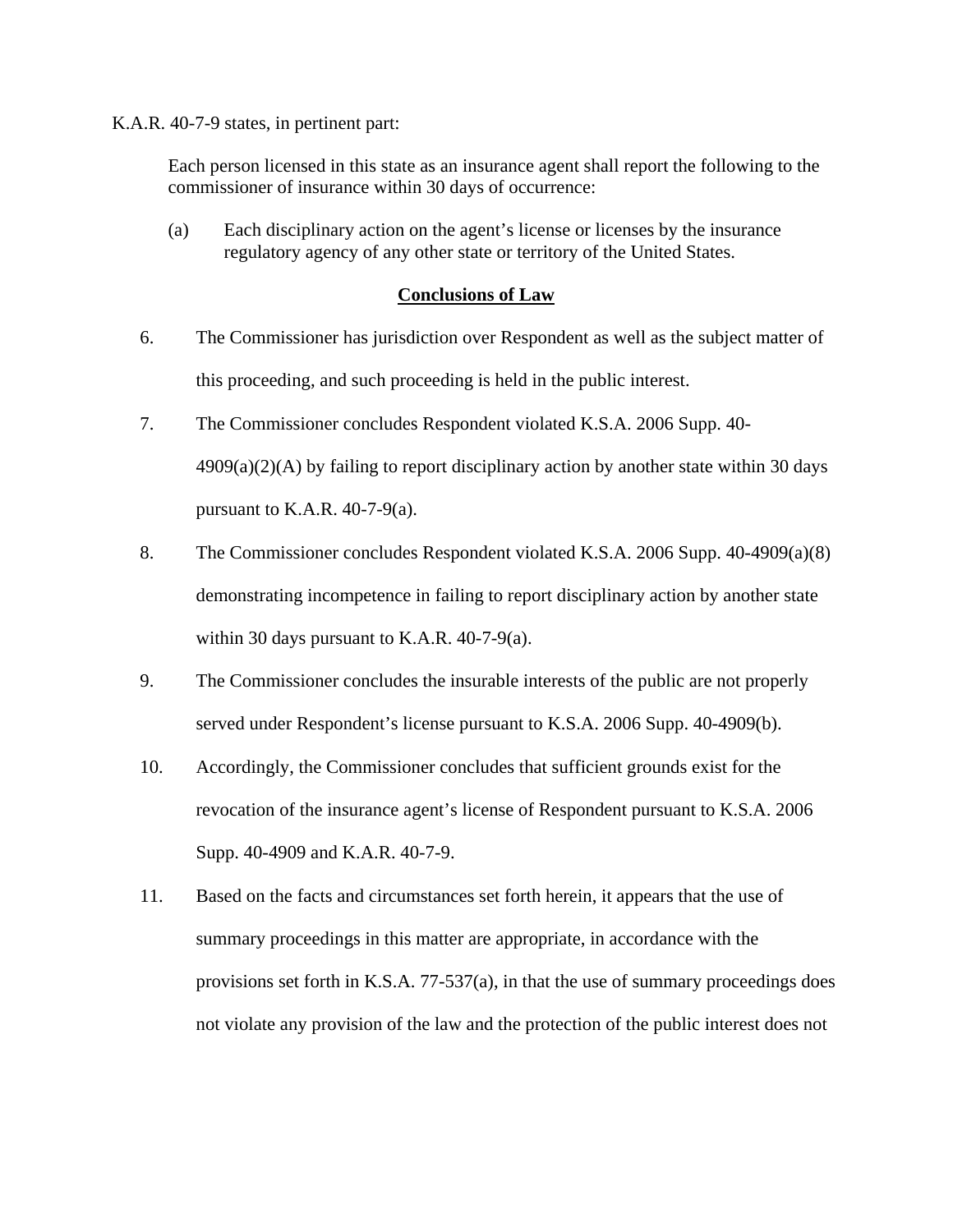K.A.R. 40-7-9 states, in pertinent part:

Each person licensed in this state as an insurance agent shall report the following to the commissioner of insurance within 30 days of occurrence:

(a) Each disciplinary action on the agent's license or licenses by the insurance regulatory agency of any other state or territory of the United States.

#### **Conclusions of Law**

- 6. The Commissioner has jurisdiction over Respondent as well as the subject matter of this proceeding, and such proceeding is held in the public interest.
- 7. The Commissioner concludes Respondent violated K.S.A. 2006 Supp. 40-  $4909(a)(2)(A)$  by failing to report disciplinary action by another state within 30 days pursuant to K.A.R.  $40-7-9(a)$ .
- 8. The Commissioner concludes Respondent violated K.S.A. 2006 Supp. 40-4909(a)(8) demonstrating incompetence in failing to report disciplinary action by another state within 30 days pursuant to K.A.R. 40-7-9(a).
- 9. The Commissioner concludes the insurable interests of the public are not properly served under Respondent's license pursuant to K.S.A. 2006 Supp. 40-4909(b).
- 10. Accordingly, the Commissioner concludes that sufficient grounds exist for the revocation of the insurance agent's license of Respondent pursuant to K.S.A. 2006 Supp. 40-4909 and K.A.R. 40-7-9.
- 11. Based on the facts and circumstances set forth herein, it appears that the use of summary proceedings in this matter are appropriate, in accordance with the provisions set forth in K.S.A. 77-537(a), in that the use of summary proceedings does not violate any provision of the law and the protection of the public interest does not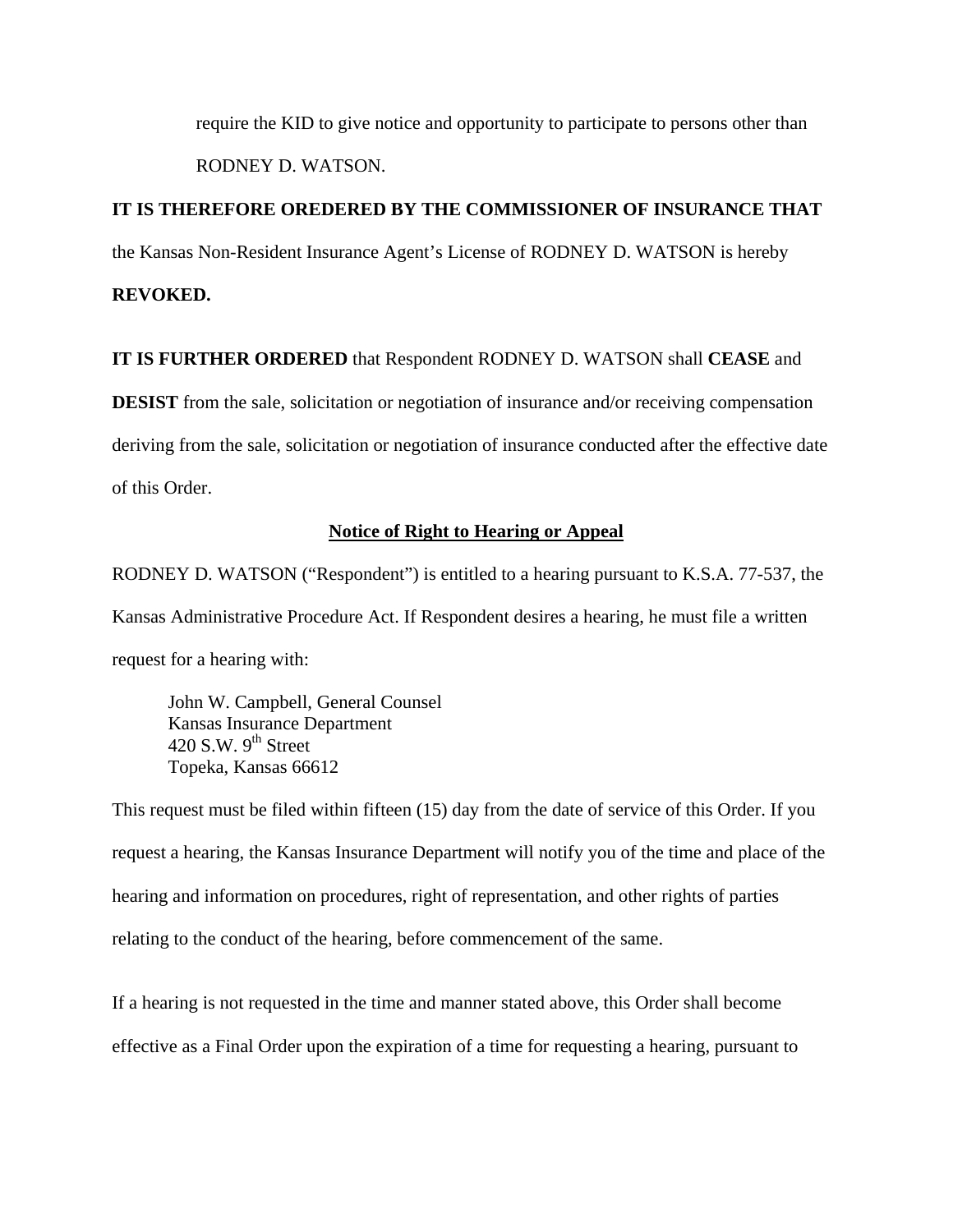require the KID to give notice and opportunity to participate to persons other than RODNEY D. WATSON.

## **IT IS THEREFORE OREDERED BY THE COMMISSIONER OF INSURANCE THAT**

the Kansas Non-Resident Insurance Agent's License of RODNEY D. WATSON is hereby

**REVOKED.** 

**IT IS FURTHER ORDERED** that Respondent RODNEY D. WATSON shall **CEASE** and

**DESIST** from the sale, solicitation or negotiation of insurance and/or receiving compensation deriving from the sale, solicitation or negotiation of insurance conducted after the effective date of this Order.

#### **Notice of Right to Hearing or Appeal**

RODNEY D. WATSON ("Respondent") is entitled to a hearing pursuant to K.S.A. 77-537, the Kansas Administrative Procedure Act. If Respondent desires a hearing, he must file a written request for a hearing with:

 John W. Campbell, General Counsel Kansas Insurance Department 420 S.W.  $9<sup>th</sup>$  Street Topeka, Kansas 66612

This request must be filed within fifteen (15) day from the date of service of this Order. If you request a hearing, the Kansas Insurance Department will notify you of the time and place of the hearing and information on procedures, right of representation, and other rights of parties relating to the conduct of the hearing, before commencement of the same.

If a hearing is not requested in the time and manner stated above, this Order shall become effective as a Final Order upon the expiration of a time for requesting a hearing, pursuant to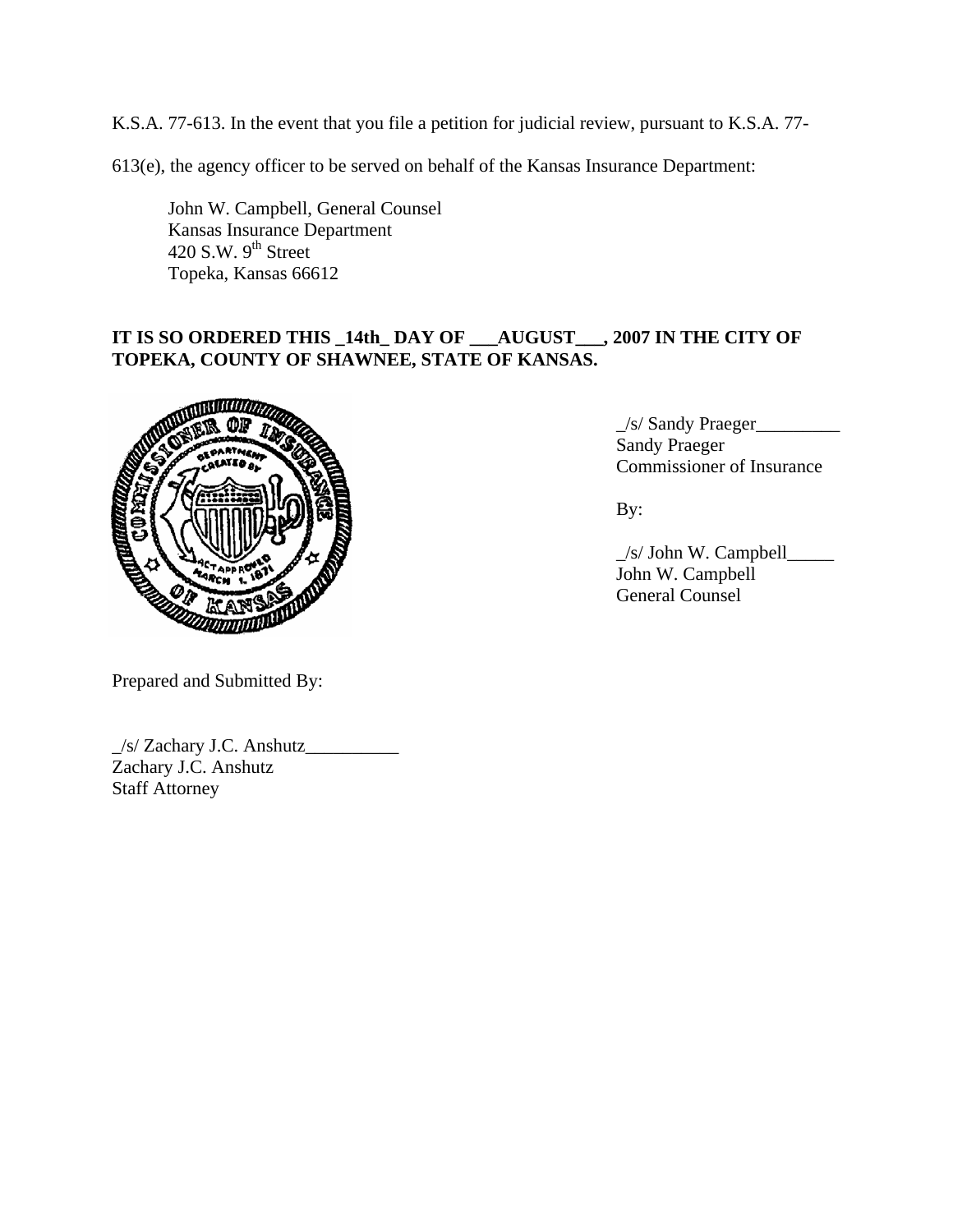K.S.A. 77-613. In the event that you file a petition for judicial review, pursuant to K.S.A. 77-

613(e), the agency officer to be served on behalf of the Kansas Insurance Department:

 John W. Campbell, General Counsel Kansas Insurance Department  $420$  S.W.  $9<sup>th</sup>$  Street Topeka, Kansas 66612

# **IT IS SO ORDERED THIS \_14th\_ DAY OF \_\_\_AUGUST\_\_\_, 2007 IN THE CITY OF TOPEKA, COUNTY OF SHAWNEE, STATE OF KANSAS.**



 $\frac{1}{s}$  Sandy Praeger Sandy Praeger Commissioner of Insurance

 \_/s/ John W. Campbell\_\_\_\_\_ John W. Campbell General Counsel

Prepared and Submitted By:

\_/s/ Zachary J.C. Anshutz\_\_\_\_\_\_\_\_\_\_ Zachary J.C. Anshutz Staff Attorney